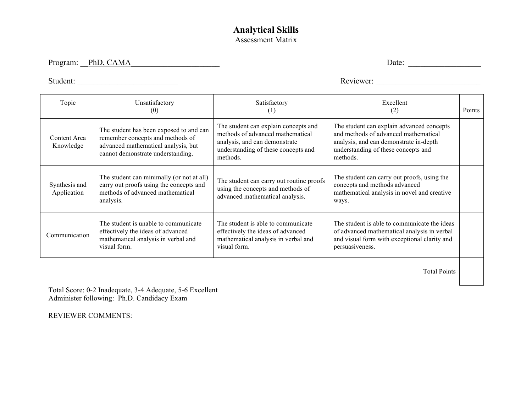## **Analytical Skills**  Assessment Matrix

Program: \_\_PhD, CAMA\_\_\_\_\_\_\_\_\_\_\_\_\_\_\_\_\_\_\_\_\_\_ Date: \_\_\_\_\_\_\_\_\_\_\_\_\_\_\_\_\_\_

Student: \_\_\_\_\_\_\_\_\_\_\_\_\_\_\_\_\_\_\_\_\_\_\_\_\_ Reviewer: \_\_\_\_\_\_\_\_\_\_\_\_\_\_\_\_\_\_\_\_\_\_\_\_\_\_

| Topic                        | Unsatisfactory<br>(0)                                                                                                                                   | Satisfactory<br>(1)                                                                                                                                          | Excellent<br>(2)                                                                                                                                                               | Points |
|------------------------------|---------------------------------------------------------------------------------------------------------------------------------------------------------|--------------------------------------------------------------------------------------------------------------------------------------------------------------|--------------------------------------------------------------------------------------------------------------------------------------------------------------------------------|--------|
| Content Area<br>Knowledge    | The student has been exposed to and can<br>remember concepts and methods of<br>advanced mathematical analysis, but<br>cannot demonstrate understanding. | The student can explain concepts and<br>methods of advanced mathematical<br>analysis, and can demonstrate<br>understanding of these concepts and<br>methods. | The student can explain advanced concepts<br>and methods of advanced mathematical<br>analysis, and can demonstrate in-depth<br>understanding of these concepts and<br>methods. |        |
| Synthesis and<br>Application | The student can minimally (or not at all)<br>carry out proofs using the concepts and<br>methods of advanced mathematical<br>analysis.                   | The student can carry out routine proofs<br>using the concepts and methods of<br>advanced mathematical analysis.                                             | The student can carry out proofs, using the<br>concepts and methods advanced<br>mathematical analysis in novel and creative<br>ways.                                           |        |
| Communication                | The student is unable to communicate<br>effectively the ideas of advanced<br>mathematical analysis in verbal and<br>visual form.                        | The student is able to communicate<br>effectively the ideas of advanced<br>mathematical analysis in verbal and<br>visual form.                               | The student is able to communicate the ideas<br>of advanced mathematical analysis in verbal<br>and visual form with exceptional clarity and<br>persuasiveness.                 |        |

Total Points

Total Score: 0-2 Inadequate, 3-4 Adequate, 5-6 Excellent Administer following: Ph.D. Candidacy Exam

REVIEWER COMMENTS: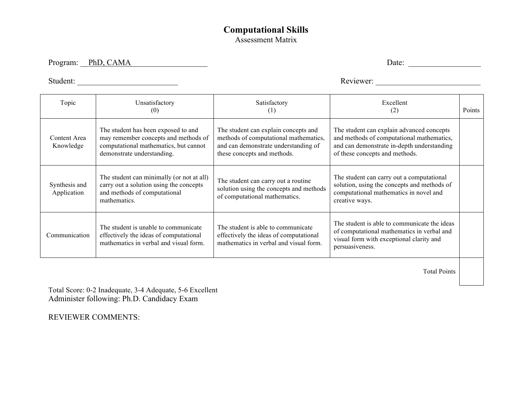## **Computational Skills**  Assessment Matrix

Program: PhD, CAMA Date: 2008. Date: 2008. Date: 2008. Date: 2008. Date: 2008. Date: 2008. Date: 2008. Date: 2008. Date: 2008. Date: 2008. Date: 2008. 2018. 2018. 2018. 2018. 2018. 2018. 2018. 2018. 2018. 2018. 2018. 2018.

Student: \_\_\_\_\_\_\_\_\_\_\_\_\_\_\_\_\_\_\_\_\_\_\_\_\_ Reviewer: \_\_\_\_\_\_\_\_\_\_\_\_\_\_\_\_\_\_\_\_\_\_\_\_\_\_

| Topic                        | Unsatisfactory<br>(0)                                                                                                                              | Satisfactory<br>(1)                                                                                                                                  | Excellent<br>(2)                                                                                                                                                       | Points |
|------------------------------|----------------------------------------------------------------------------------------------------------------------------------------------------|------------------------------------------------------------------------------------------------------------------------------------------------------|------------------------------------------------------------------------------------------------------------------------------------------------------------------------|--------|
| Content Area<br>Knowledge    | The student has been exposed to and<br>may remember concepts and methods of<br>computational mathematics, but cannot<br>demonstrate understanding. | The student can explain concepts and<br>methods of computational mathematics,<br>and can demonstrate understanding of<br>these concepts and methods. | The student can explain advanced concepts<br>and methods of computational mathematics,<br>and can demonstrate in-depth understanding<br>of these concepts and methods. |        |
| Synthesis and<br>Application | The student can minimally (or not at all)<br>carry out a solution using the concepts<br>and methods of computational<br>mathematics.               | The student can carry out a routine<br>solution using the concepts and methods<br>of computational mathematics.                                      | The student can carry out a computational<br>solution, using the concepts and methods of<br>computational mathematics in novel and<br>creative ways.                   |        |
| Communication                | The student is unable to communicate<br>effectively the ideas of computational<br>mathematics in verbal and visual form.                           | The student is able to communicate<br>effectively the ideas of computational<br>mathematics in verbal and visual form.                               | The student is able to communicate the ideas<br>of computational mathematics in verbal and<br>visual form with exceptional clarity and<br>persuasiveness.              |        |
|                              |                                                                                                                                                    |                                                                                                                                                      |                                                                                                                                                                        |        |

Total Points

Total Score: 0-2 Inadequate, 3-4 Adequate, 5-6 Excellent Administer following: Ph.D. Candidacy Exam

REVIEWER COMMENTS: